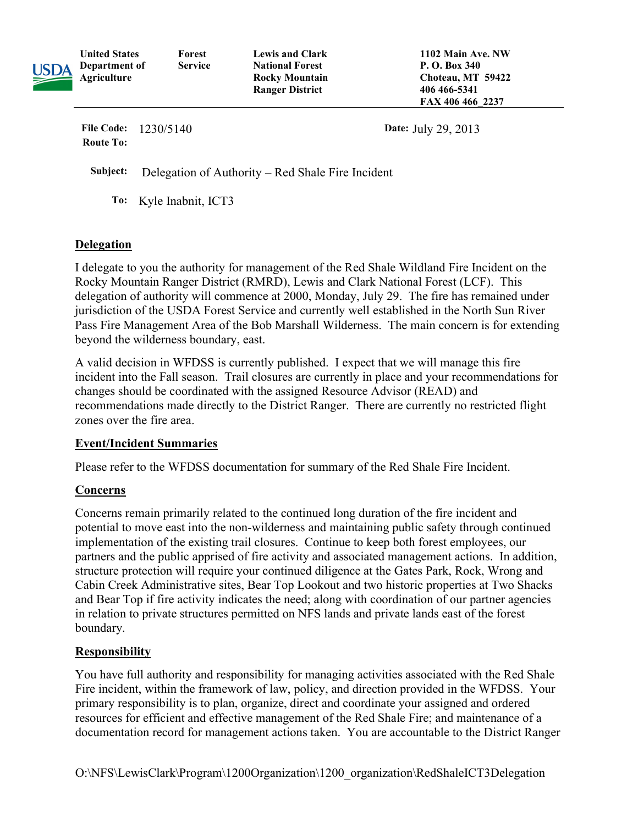| USDA | <b>United States</b><br>Department of<br>Agriculture | Forest<br><b>Service</b> | <b>Lewis and Clark</b><br><b>National Forest</b><br><b>Rocky Mountain</b><br><b>Ranger District</b> | 1102 Main Ave. NW<br>P. O. Box 340<br>Choteau, MT 59422<br>406 466 - 5341<br>FAX 406 466 2237 |  |
|------|------------------------------------------------------|--------------------------|-----------------------------------------------------------------------------------------------------|-----------------------------------------------------------------------------------------------|--|
|      | <b>File Code:</b><br>1230/5140<br><b>Route To:</b>   |                          |                                                                                                     | Date: July 29, 2013                                                                           |  |

Subject: Delegation of Authority – Red Shale Fire Incident

To: Kyle Inabnit, ICT3

## Delegation

 I delegate to you the authority for management of the Red Shale Wildland Fire Incident on the Rocky Mountain Ranger District (RMRD), Lewis and Clark National Forest (LCF). This delegation of authority will commence at 2000, Monday, July 29. The fire has remained under jurisdiction of the USDA Forest Service and currently well established in the North Sun River Pass Fire Management Area of the Bob Marshall Wilderness. The main concern is for extending beyond the wilderness boundary, east.

 A valid decision in WFDSS is currently published. I expect that we will manage this fire incident into the Fall season. Trail closures are currently in place and your recommendations for changes should be coordinated with the assigned Resource Advisor (READ) and recommendations made directly to the District Ranger. There are currently no restricted flight zones over the fire area.

## Event/Incident Summaries

Please refer to the WFDSS documentation for summary of the Red Shale Fire Incident.

## **Concerns**

 Concerns remain primarily related to the continued long duration of the fire incident and potential to move east into the non-wilderness and maintaining public safety through continued implementation of the existing trail closures. Continue to keep both forest employees, our partners and the public apprised of fire activity and associated management actions. In addition, structure protection will require your continued diligence at the Gates Park, Rock, Wrong and Cabin Creek Administrative sites, Bear Top Lookout and two historic properties at Two Shacks and Bear Top if fire activity indicates the need; along with coordination of our partner agencies in relation to private structures permitted on NFS lands and private lands east of the forest boundary.

## **Responsibility**

 You have full authority and responsibility for managing activities associated with the Red Shale Fire incident, within the framework of law, policy, and direction provided in the WFDSS. Your primary responsibility is to plan, organize, direct and coordinate your assigned and ordered resources for efficient and effective management of the Red Shale Fire; and maintenance of a documentation record for management actions taken. You are accountable to the District Ranger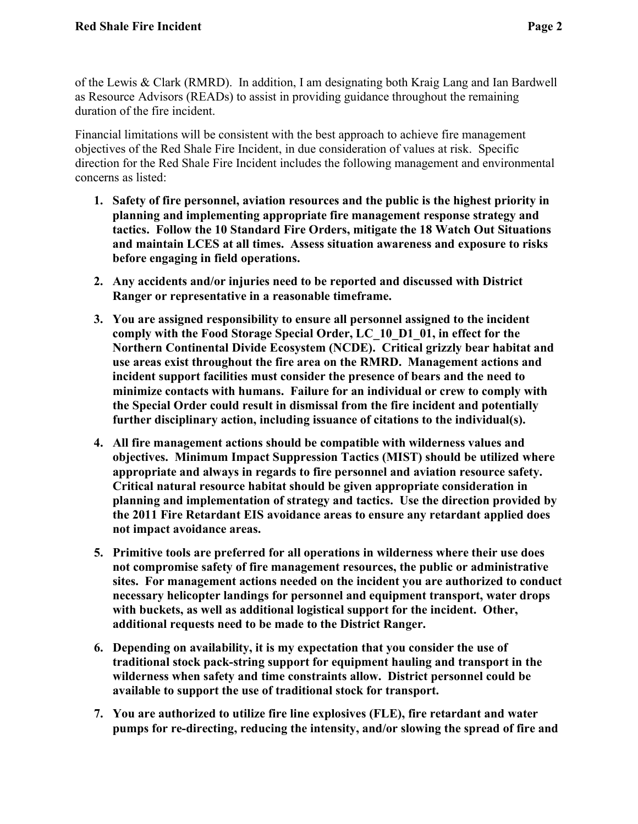of the Lewis & Clark (RMRD). In addition, I am designating both Kraig Lang and Ian Bardwell as Resource Advisors (READs) to assist in providing guidance throughout the remaining duration of the fire incident.

 Financial limitations will be consistent with the best approach to achieve fire management objectives of the Red Shale Fire Incident, in due consideration of values at risk. Specific direction for the Red Shale Fire Incident includes the following management and environmental concerns as listed:

- 1. Safety of fire personnel, aviation resources and the public is the highest priority in planning and implementing appropriate fire management response strategy and tactics. Follow the 10 Standard Fire Orders, mitigate the 18 Watch Out Situations and maintain LCES at all times. Assess situation awareness and exposure to risks before engaging in field operations.
- 2. Any accidents and/or injuries need to be reported and discussed with District Ranger or representative in a reasonable timeframe.
- 3. You are assigned responsibility to ensure all personnel assigned to the incident comply with the Food Storage Special Order, LC\_10\_D1\_01, in effect for the Northern Continental Divide Ecosystem (NCDE). Critical grizzly bear habitat and use areas exist throughout the fire area on the RMRD. Management actions and incident support facilities must consider the presence of bears and the need to minimize contacts with humans. Failure for an individual or crew to comply with the Special Order could result in dismissal from the fire incident and potentially further disciplinary action, including issuance of citations to the individual(s).
- 4. All fire management actions should be compatible with wilderness values and objectives. Minimum Impact Suppression Tactics (MIST) should be utilized where appropriate and always in regards to fire personnel and aviation resource safety. Critical natural resource habitat should be given appropriate consideration in planning and implementation of strategy and tactics. Use the direction provided by the 2011 Fire Retardant EIS avoidance areas to ensure any retardant applied does not impact avoidance areas.
- 5. Primitive tools are preferred for all operations in wilderness where their use does not compromise safety of fire management resources, the public or administrative sites. For management actions needed on the incident you are authorized to conduct necessary helicopter landings for personnel and equipment transport, water drops with buckets, as well as additional logistical support for the incident. Other, additional requests need to be made to the District Ranger.
- 6. Depending on availability, it is my expectation that you consider the use of traditional stock pack-string support for equipment hauling and transport in the wilderness when safety and time constraints allow. District personnel could be available to support the use of traditional stock for transport.
- 7. You are authorized to utilize fire line explosives (FLE), fire retardant and water pumps for re-directing, reducing the intensity, and/or slowing the spread of fire and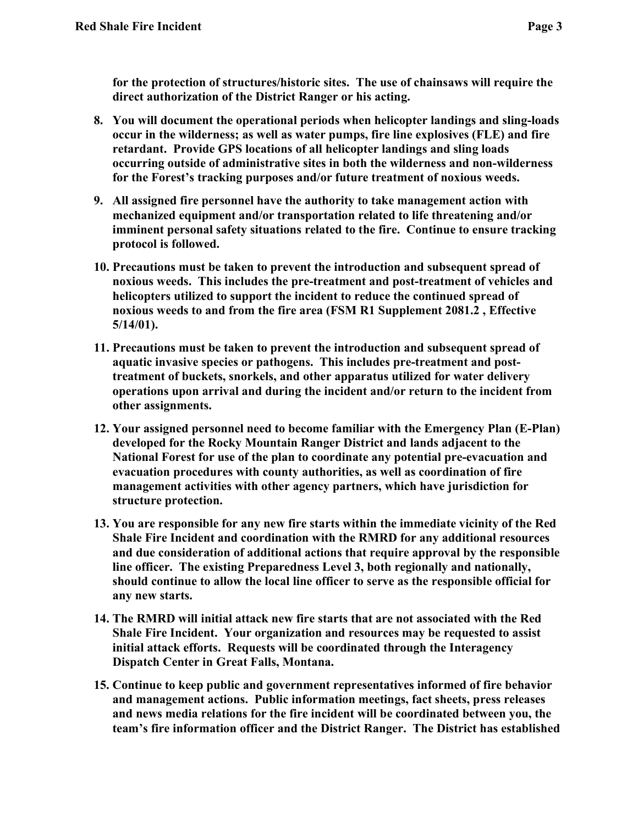for the protection of structures/historic sites. The use of chainsaws will require the direct authorization of the District Ranger or his acting.

- 8. You will document the operational periods when helicopter landings and sling-loads occur in the wilderness; as well as water pumps, fire line explosives (FLE) and fire retardant. Provide GPS locations of all helicopter landings and sling loads occurring outside of administrative sites in both the wilderness and non-wilderness for the Forest's tracking purposes and/or future treatment of noxious weeds.
- 9. All assigned fire personnel have the authority to take management action with mechanized equipment and/or transportation related to life threatening and/or imminent personal safety situations related to the fire. Continue to ensure tracking protocol is followed.
- 10. Precautions must be taken to prevent the introduction and subsequent spread of noxious weeds. This includes the pre-treatment and post-treatment of vehicles and helicopters utilized to support the incident to reduce the continued spread of noxious weeds to and from the fire area (FSM R1 Supplement 2081.2 , Effective 5/14/01).
- 11. Precautions must be taken to prevent the introduction and subsequent spread of aquatic invasive species or pathogens. This includes pre-treatment and post- treatment of buckets, snorkels, and other apparatus utilized for water delivery operations upon arrival and during the incident and/or return to the incident from other assignments.
- 12. Your assigned personnel need to become familiar with the Emergency Plan (E-Plan) developed for the Rocky Mountain Ranger District and lands adjacent to the National Forest for use of the plan to coordinate any potential pre-evacuation and evacuation procedures with county authorities, as well as coordination of fire management activities with other agency partners, which have jurisdiction for structure protection.
- 13. You are responsible for any new fire starts within the immediate vicinity of the Red Shale Fire Incident and coordination with the RMRD for any additional resources and due consideration of additional actions that require approval by the responsible line officer. The existing Preparedness Level 3, both regionally and nationally, should continue to allow the local line officer to serve as the responsible official for any new starts.
- 14. The RMRD will initial attack new fire starts that are not associated with the Red Shale Fire Incident. Your organization and resources may be requested to assist initial attack efforts. Requests will be coordinated through the Interagency Dispatch Center in Great Falls, Montana.
- 15. Continue to keep public and government representatives informed of fire behavior and management actions. Public information meetings, fact sheets, press releases and news media relations for the fire incident will be coordinated between you, the team's fire information officer and the District Ranger. The District has established